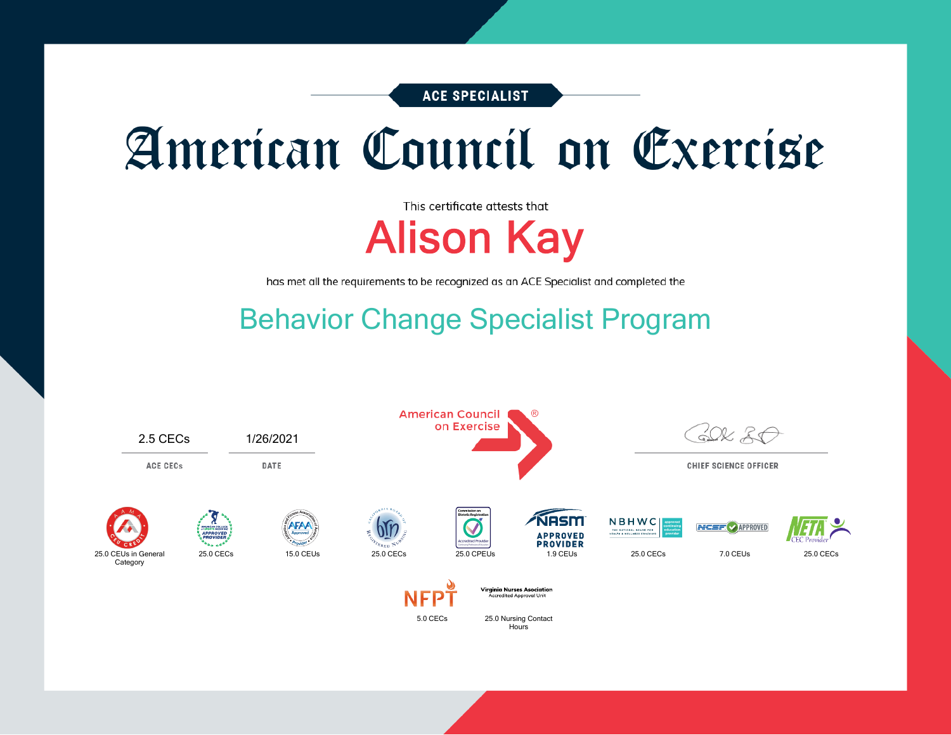**ACE SPECIALIST** 

# American Council on Exercise

This certificate attests that Alison Kay

has met all the requirements to be recognized as an ACE Specialist and completed the

### Behavior Change Specialist Program